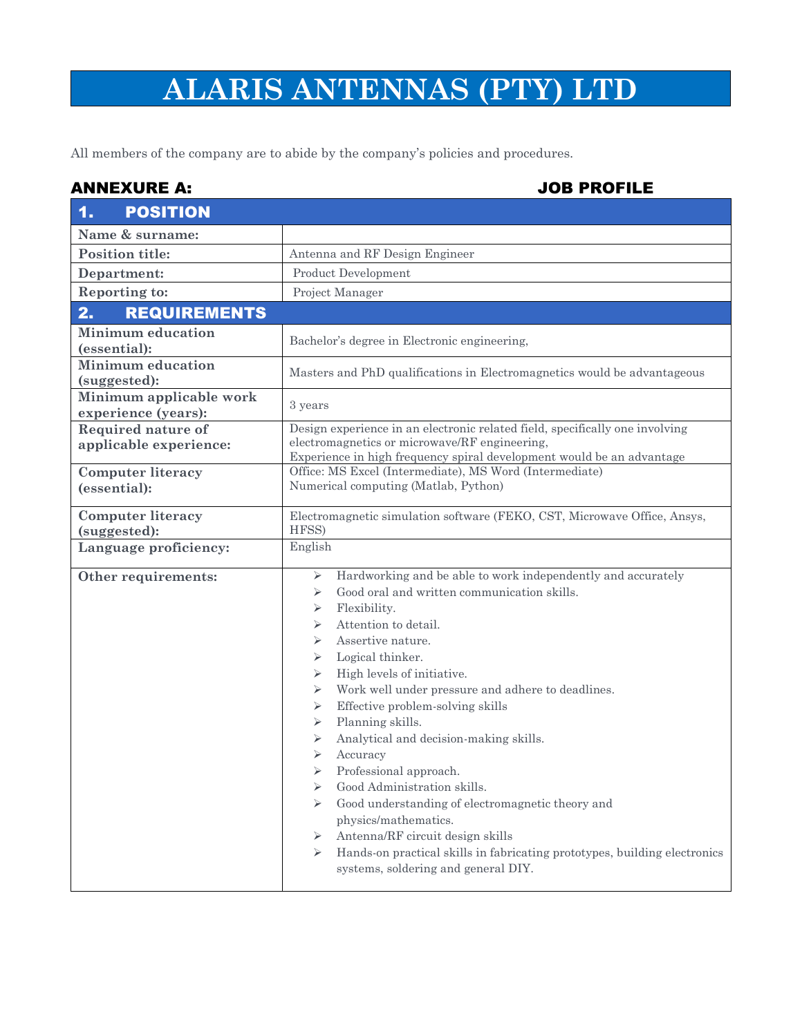## **ALARIS ANTENNAS (PTY) LTD**

All members of the company are to abide by the company's policies and procedures.

## ANNEXURE A: JOB PROFILE

| <b>POSITION</b><br>$\mathbf{1}$                |                                                                                                                                                                                                                                                                                                                                                                                                                                                                                                                                                                                                                                                                                                                                                                            |  |
|------------------------------------------------|----------------------------------------------------------------------------------------------------------------------------------------------------------------------------------------------------------------------------------------------------------------------------------------------------------------------------------------------------------------------------------------------------------------------------------------------------------------------------------------------------------------------------------------------------------------------------------------------------------------------------------------------------------------------------------------------------------------------------------------------------------------------------|--|
| Name & surname:                                |                                                                                                                                                                                                                                                                                                                                                                                                                                                                                                                                                                                                                                                                                                                                                                            |  |
| <b>Position title:</b>                         | Antenna and RF Design Engineer                                                                                                                                                                                                                                                                                                                                                                                                                                                                                                                                                                                                                                                                                                                                             |  |
| Department:                                    | Product Development                                                                                                                                                                                                                                                                                                                                                                                                                                                                                                                                                                                                                                                                                                                                                        |  |
| <b>Reporting to:</b>                           | Project Manager                                                                                                                                                                                                                                                                                                                                                                                                                                                                                                                                                                                                                                                                                                                                                            |  |
| 2.<br><b>REQUIREMENTS</b>                      |                                                                                                                                                                                                                                                                                                                                                                                                                                                                                                                                                                                                                                                                                                                                                                            |  |
| <b>Minimum education</b><br>(essential):       | Bachelor's degree in Electronic engineering,                                                                                                                                                                                                                                                                                                                                                                                                                                                                                                                                                                                                                                                                                                                               |  |
| <b>Minimum</b> education<br>(suggested):       | Masters and PhD qualifications in Electromagnetics would be advantageous                                                                                                                                                                                                                                                                                                                                                                                                                                                                                                                                                                                                                                                                                                   |  |
| Minimum applicable work<br>experience (years): | 3 years                                                                                                                                                                                                                                                                                                                                                                                                                                                                                                                                                                                                                                                                                                                                                                    |  |
| Required nature of<br>applicable experience:   | Design experience in an electronic related field, specifically one involving<br>electromagnetics or microwave/RF engineering,<br>Experience in high frequency spiral development would be an advantage                                                                                                                                                                                                                                                                                                                                                                                                                                                                                                                                                                     |  |
| <b>Computer literacy</b><br>(essential):       | Office: MS Excel (Intermediate), MS Word (Intermediate)<br>Numerical computing (Matlab, Python)                                                                                                                                                                                                                                                                                                                                                                                                                                                                                                                                                                                                                                                                            |  |
| <b>Computer literacy</b><br>(suggested):       | Electromagnetic simulation software (FEKO, CST, Microwave Office, Ansys,<br>HFSS)                                                                                                                                                                                                                                                                                                                                                                                                                                                                                                                                                                                                                                                                                          |  |
| Language proficiency:                          | English                                                                                                                                                                                                                                                                                                                                                                                                                                                                                                                                                                                                                                                                                                                                                                    |  |
| Other requirements:                            | Hardworking and be able to work independently and accurately<br>➤<br>Good oral and written communication skills.<br>➤<br>Flexibility.<br>⋗<br>Attention to detail.<br>⋗<br>Assertive nature.<br>⋗<br>Logical thinker.<br>⋗<br>High levels of initiative.<br>➤<br>Work well under pressure and adhere to deadlines.<br>⋗<br>Effective problem-solving skills<br>➤<br>Planning skills.<br>➤<br>Analytical and decision-making skills.<br>⋗<br>Accuracy<br>⋗<br>Professional approach.<br>⋗<br>Good Administration skills.<br>Good understanding of electromagnetic theory and<br>⋗<br>physics/mathematics.<br>Antenna/RF circuit design skills<br>⋗<br>Hands-on practical skills in fabricating prototypes, building electronics<br>⋗<br>systems, soldering and general DIY. |  |